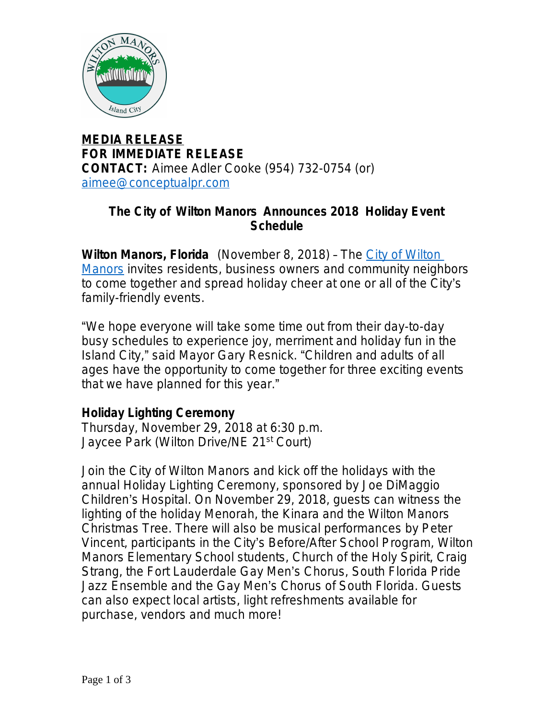

**MEDIA RELEASE FOR IMMEDIATE RELEASE CONTACT:** Aimee Adler Cooke (954) 732-0754 (or) [aimee@conceptualpr.com](mailto:aimee@conceptualpr.com)

### **The City of Wilton Manors Announces 2018 Holiday Event Schedule**

**Wilton Manors, Florida** (November 8, 2018) – The [City of Wilton](http://bit.ly/WiltonM)  Manors invites residents, business owners and community neighbors to come together and spread holiday cheer at one or all of the City's family-friendly events.

"We hope everyone will take some time out from their day-to-day busy schedules to experience joy, merriment and holiday fun in the Island City," said Mayor Gary Resnick. "Children and adults of all ages have the opportunity to come together for three exciting events that we have planned for this year."

### **Holiday Lighting Ceremony**

Thursday, November 29, 2018 at 6:30 p.m. Jaycee Park (Wilton Drive/NE 21<sup>st</sup> Court)

Join the City of Wilton Manors and kick off the holidays with the annual Holiday Lighting Ceremony, sponsored by Joe DiMaggio Children's Hospital. On November 29, 2018, guests can witness the lighting of the holiday Menorah, the Kinara and the Wilton Manors Christmas Tree. There will also be musical performances by Peter Vincent, participants in the City's Before/After School Program, Wilton Manors Elementary School students, Church of the Holy Spirit, Craig Strang, the Fort Lauderdale Gay Men's Chorus, South Florida Pride Jazz Ensemble and the Gay Men's Chorus of South Florida. Guests can also expect local artists, light refreshments available for purchase, vendors and much more!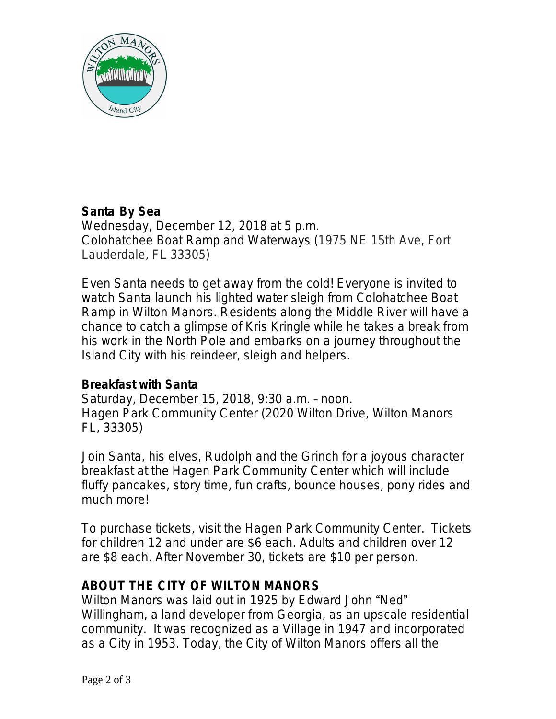

# **Santa By Sea**

Wednesday, December 12, 2018 at 5 p.m. Colohatchee Boat Ramp and Waterways (1975 NE 15th Ave, Fort Lauderdale, FL 33305)

Even Santa needs to get away from the cold! Everyone is invited to watch Santa launch his lighted water sleigh from Colohatchee Boat Ramp in Wilton Manors. Residents along the Middle River will have a chance to catch a glimpse of Kris Kringle while he takes a break from his work in the North Pole and embarks on a journey throughout the Island City with his reindeer, sleigh and helpers.

### **Breakfast with Santa**

Saturday, December 15, 2018, 9:30 a.m. – noon. Hagen Park Community Center (2020 Wilton Drive, Wilton Manors FL, 33305)

Join Santa, his elves, Rudolph and the Grinch for a joyous character breakfast at the Hagen Park Community Center which will include fluffy pancakes, story time, fun crafts, bounce houses, pony rides and much more!

To purchase tickets, visit the Hagen Park Community Center. Tickets for children 12 and under are \$6 each. Adults and children over 12 are \$8 each. After November 30, tickets are \$10 per person.

## **ABOUT THE CITY OF WILTON MANORS**

Wilton Manors was laid out in 1925 by Edward John "Ned" Willingham, a land developer from Georgia, as an upscale residential community. It was recognized as a Village in 1947 and incorporated as a City in 1953. Today, the City of Wilton Manors offers all the